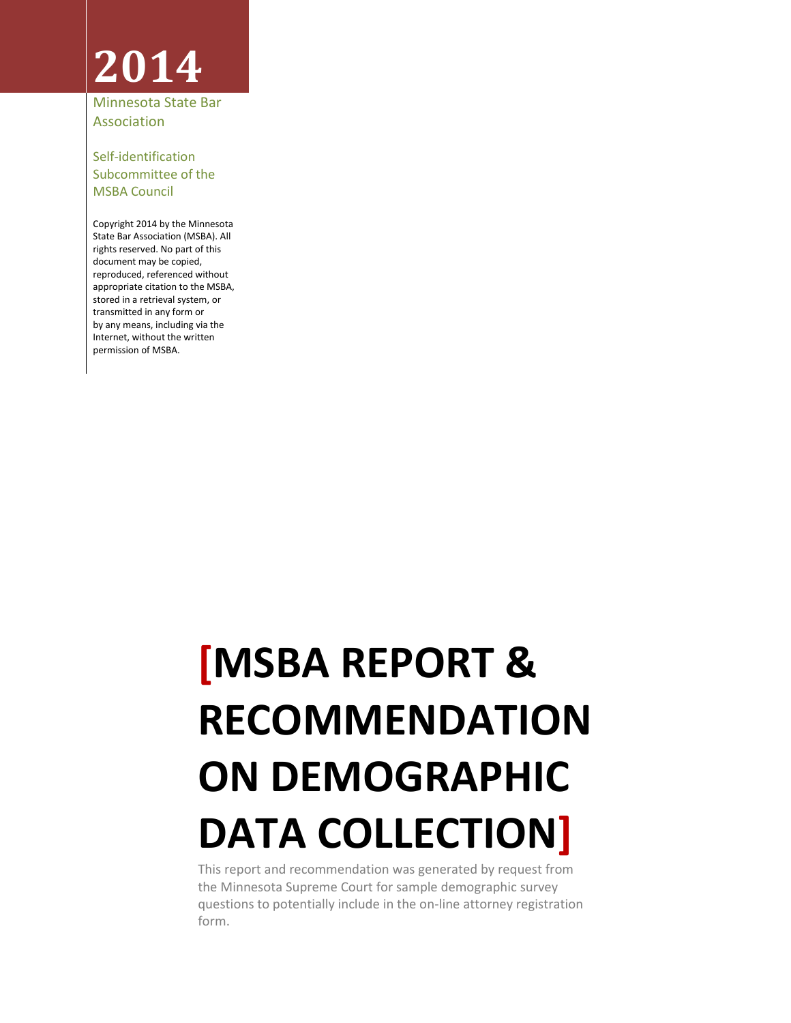# **2014**

Minnesota State Bar Association

Self-identification Subcommittee of the MSBA Council

Copyright 2014 by the Minnesota State Bar Association (MSBA). All rights reserved. No part of this document may be copied, reproduced, referenced without appropriate citation to the MSBA, stored in a retrieval system, or transmitted in any form or by any means, including via the Internet, without the written permission of MSBA.

# **[MSBA REPORT & RECOMMENDATION ON DEMOGRAPHIC DATA COLLECTION]**

This report and recommendation was generated by request from the Minnesota Supreme Court for sample demographic survey questions to potentially include in the on-line attorney registration form.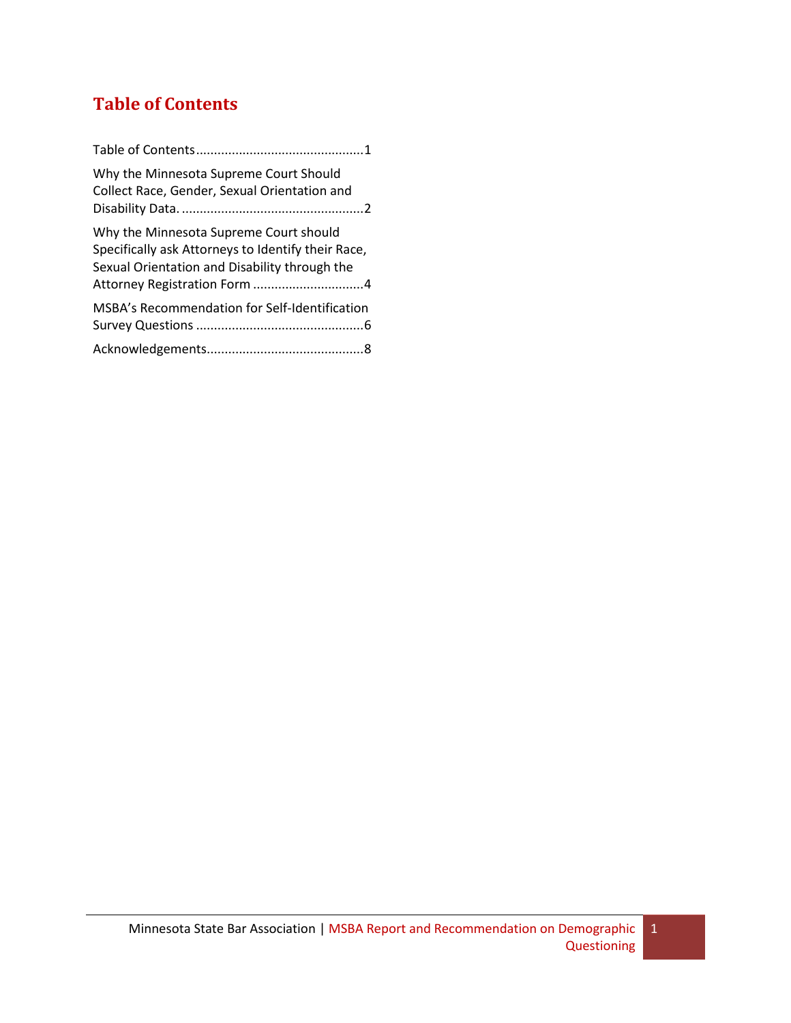# <span id="page-1-0"></span>**Table of Contents**

| Why the Minnesota Supreme Court Should<br>Collect Race, Gender, Sexual Orientation and                                                        |
|-----------------------------------------------------------------------------------------------------------------------------------------------|
| Why the Minnesota Supreme Court should<br>Specifically ask Attorneys to Identify their Race,<br>Sexual Orientation and Disability through the |
| MSBA's Recommendation for Self-Identification                                                                                                 |
|                                                                                                                                               |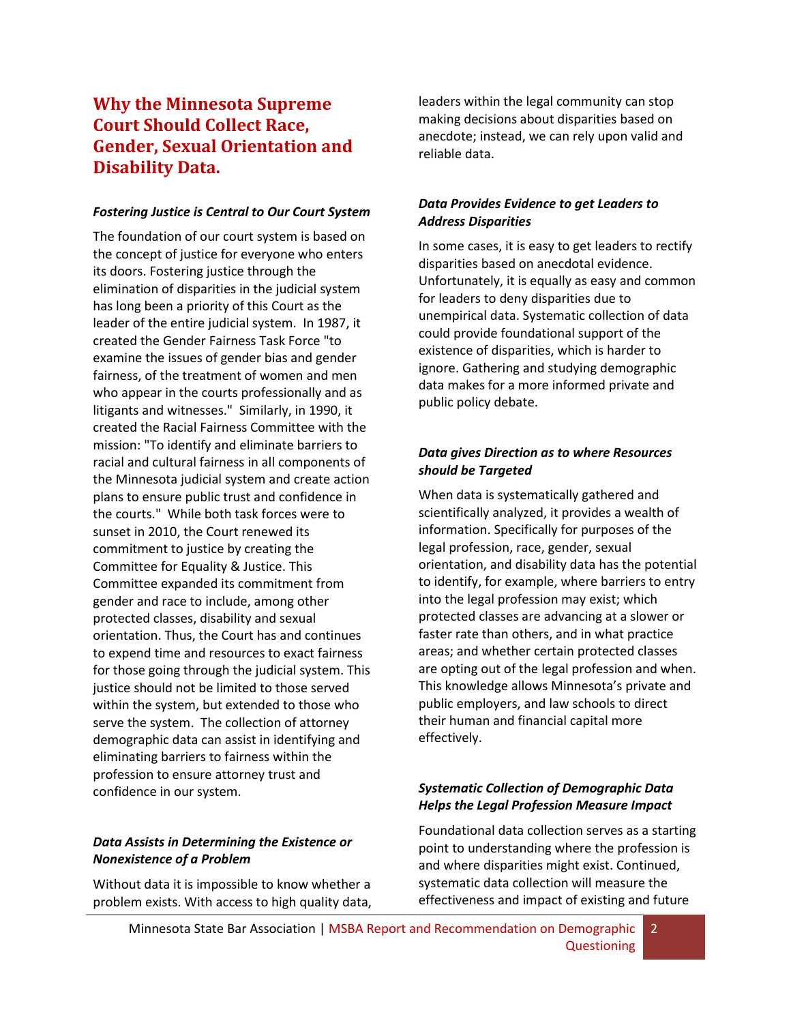### <span id="page-2-0"></span>**Why the Minnesota Supreme Court Should Collect Race, Gender, Sexual Orientation and Disability Data.**

#### *Fostering Justice is Central to Our Court System*

The foundation of our court system is based on the concept of justice for everyone who enters its doors. Fostering justice through the elimination of disparities in the judicial system has long been a priority of this Court as the leader of the entire judicial system. In 1987, it created the Gender Fairness Task Force "to examine the issues of gender bias and gender fairness, of the treatment of women and men who appear in the courts professionally and as litigants and witnesses." Similarly, in 1990, it created the Racial Fairness Committee with the mission: "To identify and eliminate barriers to racial and cultural fairness in all components of the Minnesota judicial system and create action plans to ensure public trust and confidence in the courts." While both task forces were to sunset in 2010, the Court renewed its commitment to justice by creating the Committee for Equality & Justice. This Committee expanded its commitment from gender and race to include, among other protected classes, disability and sexual orientation. Thus, the Court has and continues to expend time and resources to exact fairness for those going through the judicial system. This justice should not be limited to those served within the system, but extended to those who serve the system. The collection of attorney demographic data can assist in identifying and eliminating barriers to fairness within the profession to ensure attorney trust and confidence in our system.

#### *Data Assists in Determining the Existence or Nonexistence of a Problem*

Without data it is impossible to know whether a problem exists. With access to high quality data, leaders within the legal community can stop making decisions about disparities based on anecdote; instead, we can rely upon valid and reliable data.

#### *Data Provides Evidence to get Leaders to Address Disparities*

In some cases, it is easy to get leaders to rectify disparities based on anecdotal evidence. Unfortunately, it is equally as easy and common for leaders to deny disparities due to unempirical data. Systematic collection of data could provide foundational support of the existence of disparities, which is harder to ignore. Gathering and studying demographic data makes for a more informed private and public policy debate.

#### *Data gives Direction as to where Resources should be Targeted*

When data is systematically gathered and scientifically analyzed, it provides a wealth of information. Specifically for purposes of the legal profession, race, gender, sexual orientation, and disability data has the potential to identify, for example, where barriers to entry into the legal profession may exist; which protected classes are advancing at a slower or faster rate than others, and in what practice areas; and whether certain protected classes are opting out of the legal profession and when. This knowledge allows Minnesota's private and public employers, and law schools to direct their human and financial capital more effectively.

#### *Systematic Collection of Demographic Data Helps the Legal Profession Measure Impact*

Foundational data collection serves as a starting point to understanding where the profession is and where disparities might exist. Continued, systematic data collection will measure the effectiveness and impact of existing and future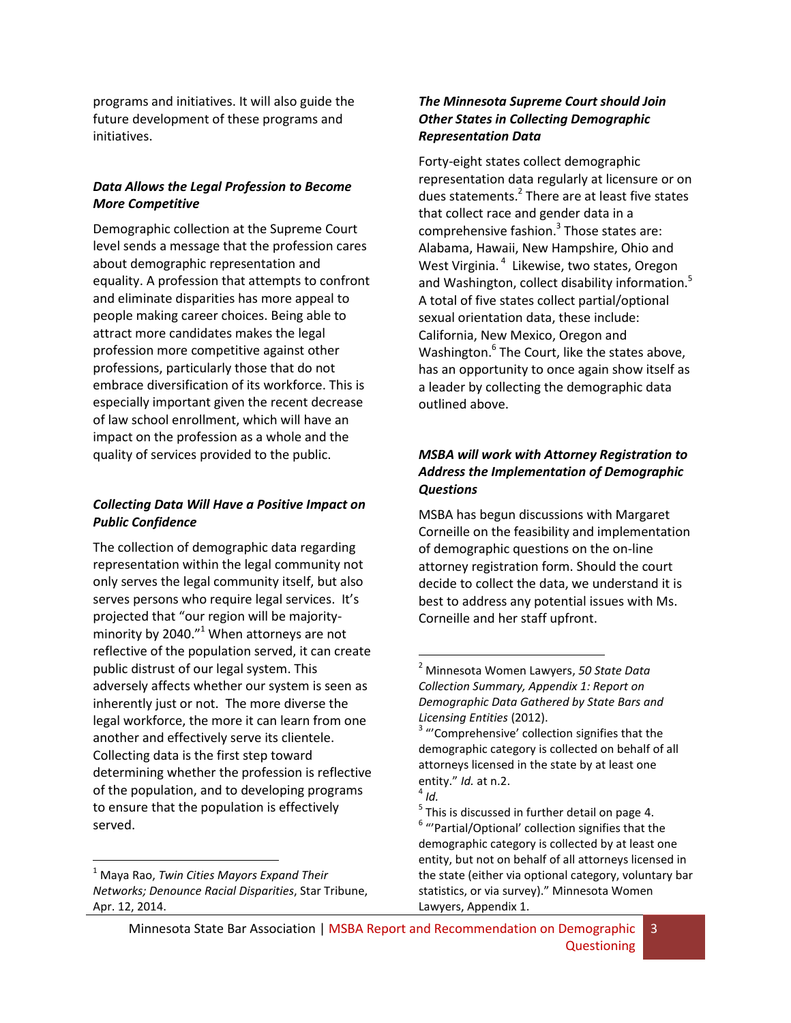programs and initiatives. It will also guide the future development of these programs and initiatives.

#### *Data Allows the Legal Profession to Become More Competitive*

Demographic collection at the Supreme Court level sends a message that the profession cares about demographic representation and equality. A profession that attempts to confront and eliminate disparities has more appeal to people making career choices. Being able to attract more candidates makes the legal profession more competitive against other professions, particularly those that do not embrace diversification of its workforce. This is especially important given the recent decrease of law school enrollment, which will have an impact on the profession as a whole and the quality of services provided to the public.

#### *Collecting Data Will Have a Positive Impact on Public Confidence*

The collection of demographic data regarding representation within the legal community not only serves the legal community itself, but also serves persons who require legal services. It's projected that "our region will be majorityminority by 2040. $^{\prime\prime}$  When attorneys are not reflective of the population served, it can create public distrust of our legal system. This adversely affects whether our system is seen as inherently just or not. The more diverse the legal workforce, the more it can learn from one another and effectively serve its clientele. Collecting data is the first step toward determining whether the profession is reflective of the population, and to developing programs to ensure that the population is effectively served.

 $\overline{\phantom{a}}$ 

#### *The Minnesota Supreme Court should Join Other States in Collecting Demographic Representation Data*

Forty-eight states collect demographic representation data regularly at licensure or on dues statements.<sup>2</sup> There are at least five states that collect race and gender data in a comprehensive fashion. $3$  Those states are: Alabama, Hawaii, New Hampshire, Ohio and West Virginia.<sup>4</sup> Likewise, two states, Oregon and Washington, collect disability information.<sup>5</sup> A total of five states collect partial/optional sexual orientation data, these include: California, New Mexico, Oregon and Washington.<sup>6</sup> The Court, like the states above, has an opportunity to once again show itself as a leader by collecting the demographic data outlined above.

#### *MSBA will work with Attorney Registration to Address the Implementation of Demographic Questions*

MSBA has begun discussions with Margaret Corneille on the feasibility and implementation of demographic questions on the on-line attorney registration form. Should the court decide to collect the data, we understand it is best to address any potential issues with Ms. Corneille and her staff upfront.

 $\overline{\phantom{a}}$ 

<sup>1</sup> Maya Rao, *Twin Cities Mayors Expand Their Networks; Denounce Racial Disparities*, Star Tribune, Apr. 12, 2014.

<sup>2</sup> Minnesota Women Lawyers, *50 State Data Collection Summary, Appendix 1: Report on Demographic Data Gathered by State Bars and Licensing Entities* (2012).

<sup>&</sup>lt;sup>3</sup> "'Comprehensive' collection signifies that the demographic category is collected on behalf of all attorneys licensed in the state by at least one entity." *Id.* at n.2.

<sup>4</sup> *Id.*

 $<sup>5</sup>$  This is discussed in further detail on page 4.</sup> <sup>6</sup> "'Partial/Optional' collection signifies that the demographic category is collected by at least one entity, but not on behalf of all attorneys licensed in the state (either via optional category, voluntary bar statistics, or via survey)." Minnesota Women Lawyers, Appendix 1.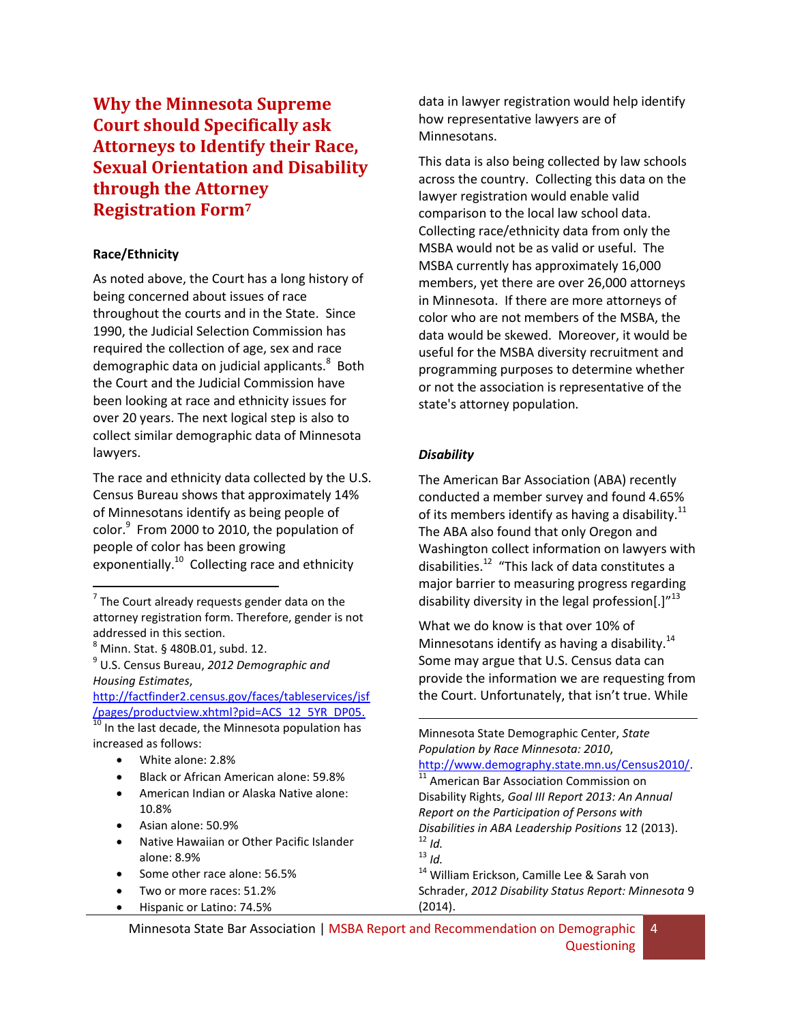<span id="page-4-0"></span>**Why the Minnesota Supreme Court should Specifically ask Attorneys to Identify their Race, Sexual Orientation and Disability through the Attorney Registration Form<sup>7</sup>**

#### **Race/Ethnicity**

As noted above, the Court has a long history of being concerned about issues of race throughout the courts and in the State. Since 1990, the Judicial Selection Commission has required the collection of age, sex and race demographic data on judicial applicants.<sup>8</sup> Both the Court and the Judicial Commission have been looking at race and ethnicity issues for over 20 years. The next logical step is also to collect similar demographic data of Minnesota lawyers.

The race and ethnicity data collected by the U.S. Census Bureau shows that approximately 14% of Minnesotans identify as being people of color.<sup>9</sup> From 2000 to 2010, the population of people of color has been growing exponentially.<sup>10</sup> Collecting race and ethnicity

 $<sup>8</sup>$  Minn. Stat. § 480B.01, subd. 12.</sup>

 $\overline{\phantom{a}}$ 

9 U.S. Census Bureau, *2012 Demographic and Housing Estimates*,

[http://factfinder2.census.gov/faces/tableservices/jsf](http://factfinder2.census.gov/faces/tableservices/jsf/pages/productview.xhtml?pid=ACS_12_5YR_DP05) [/pages/productview.xhtml?pid=ACS\\_12\\_5YR\\_DP05.](http://factfinder2.census.gov/faces/tableservices/jsf/pages/productview.xhtml?pid=ACS_12_5YR_DP05)

10 In the last decade, the Minnesota population has increased as follows:

- White alone: 2.8%
- Black or African American alone: 59.8%
- American Indian or Alaska Native alone: 10.8%
- Asian alone: 50.9%
- Native Hawaiian or Other Pacific Islander alone: 8.9%
- Some other race alone: 56.5%
- Two or more races: 51.2%
- **•** Hispanic or Latino: 74.5%

data in lawyer registration would help identify how representative lawyers are of Minnesotans.

This data is also being collected by law schools across the country. Collecting this data on the lawyer registration would enable valid comparison to the local law school data. Collecting race/ethnicity data from only the MSBA would not be as valid or useful. The MSBA currently has approximately 16,000 members, yet there are over 26,000 attorneys in Minnesota. If there are more attorneys of color who are not members of the MSBA, the data would be skewed. Moreover, it would be useful for the MSBA diversity recruitment and programming purposes to determine whether or not the association is representative of the state's attorney population.

#### *Disability*

The American Bar Association (ABA) recently conducted a member survey and found 4.65% of its members identify as having a disability. $^{11}$ The ABA also found that only Oregon and Washington collect information on lawyers with disabilities.<sup>12</sup> "This lack of data constitutes a major barrier to measuring progress regarding disability diversity in the legal profession[.] $^{\prime\prime 13}$ 

What we do know is that over 10% of Minnesotans identify as having a disability. $^{14}$ Some may argue that U.S. Census data can provide the information we are requesting from the Court. Unfortunately, that isn't true. While

 $\overline{\phantom{a}}$ Minnesota State Demographic Center, *State Population by Race Minnesota: 2010*, [http://www.demography.state.mn.us/Census2010/.](http://www.demography.state.mn.us/Census2010/) <sup>11</sup> American Bar Association Commission on Disability Rights, *Goal III Report 2013: An Annual Report on the Participation of Persons with Disabilities in ABA Leadership Positions* 12 (2013). <sup>12</sup> *Id.*  $13 \frac{1}{10}$ .

<sup>14</sup> William Erickson, Camille Lee & Sarah von Schrader, *2012 Disability Status Report: Minnesota* 9 (2014).

Minnesota State Bar Association | MSBA Report and Recommendation on Demographic **Questioning** 4

 $7$  The Court already requests gender data on the attorney registration form. Therefore, gender is not addressed in this section.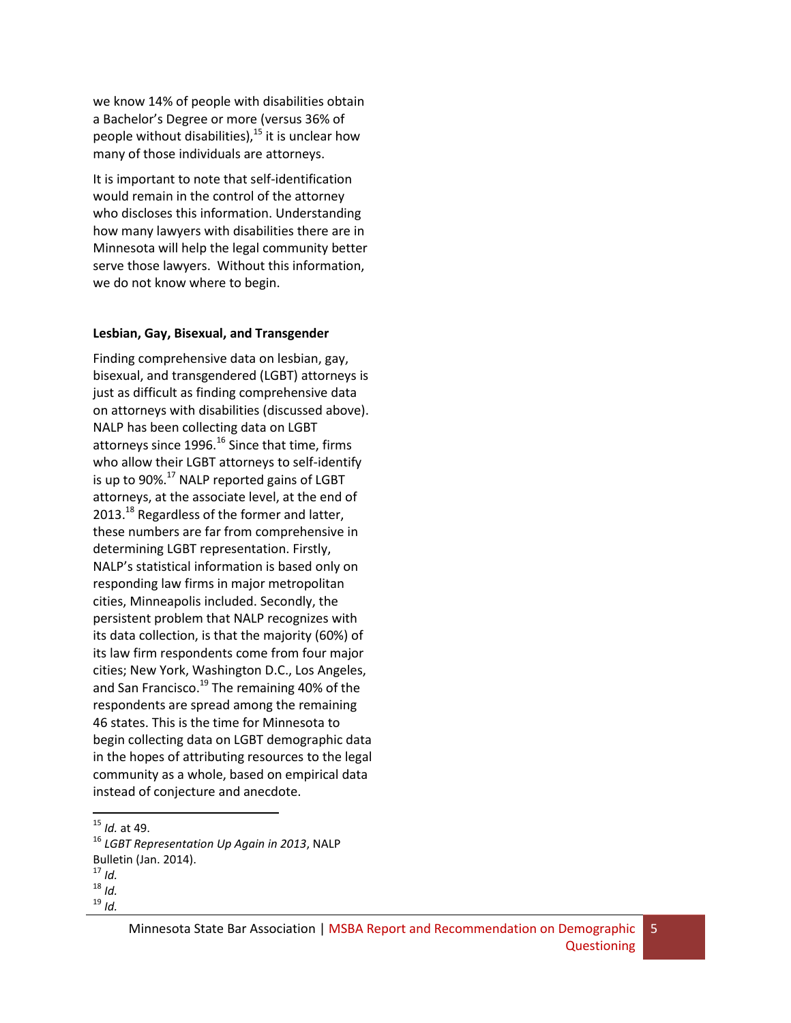we know 14% of people with disabilities obtain a Bachelor's Degree or more (versus 36% of people without disabilities), $^{15}$  it is unclear how many of those individuals are attorneys.

It is important to note that self-identification would remain in the control of the attorney who discloses this information. Understanding how many lawyers with disabilities there are in Minnesota will help the legal community better serve those lawyers. Without this information, we do not know where to begin.

#### **Lesbian, Gay, Bisexual, and Transgender**

Finding comprehensive data on lesbian, gay, bisexual, and transgendered (LGBT) attorneys is just as difficult as finding comprehensive data on attorneys with disabilities (discussed above). NALP has been collecting data on LGBT attorneys since  $1996$ <sup>16</sup> Since that time, firms who allow their LGBT attorneys to self-identify is up to  $90\%$ <sup>17</sup> NALP reported gains of LGBT attorneys, at the associate level, at the end of 2013.<sup>18</sup> Regardless of the former and latter, these numbers are far from comprehensive in determining LGBT representation. Firstly, NALP's statistical information is based only on responding law firms in major metropolitan cities, Minneapolis included. Secondly, the persistent problem that NALP recognizes with its data collection, is that the majority (60%) of its law firm respondents come from four major cities; New York, Washington D.C., Los Angeles, and San Francisco.<sup>19</sup> The remaining 40% of the respondents are spread among the remaining 46 states. This is the time for Minnesota to begin collecting data on LGBT demographic data in the hopes of attributing resources to the legal community as a whole, based on empirical data instead of conjecture and anecdote.

 $\overline{a}$ 

5

<sup>15</sup> *Id.* at 49.

<sup>16</sup> *LGBT Representation Up Again in 2013*, NALP Bulletin (Jan. 2014).

<sup>17</sup> *Id.*

 $18$  *Id.* 

<sup>19</sup> *Id.*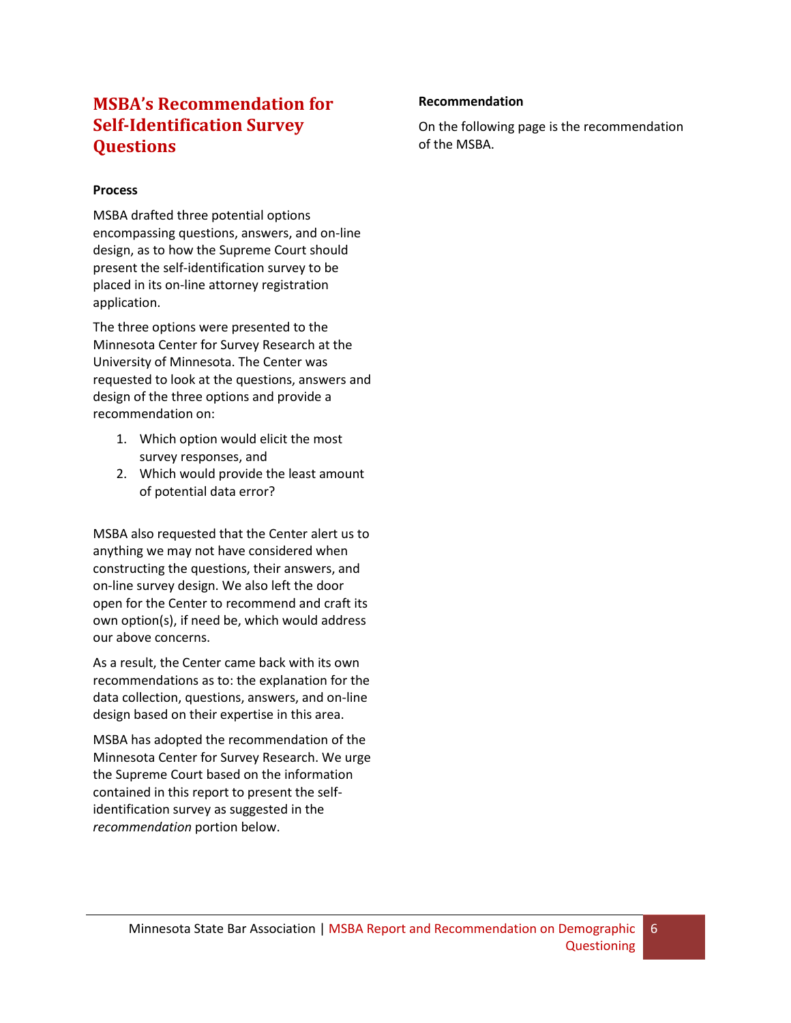### <span id="page-6-0"></span>**MSBA's Recommendation for Self-Identification Survey Questions**

#### **Process**

MSBA drafted three potential options encompassing questions, answers, and on-line design, as to how the Supreme Court should present the self-identification survey to be placed in its on-line attorney registration application.

The three options were presented to the Minnesota Center for Survey Research at the University of Minnesota. The Center was requested to look at the questions, answers and design of the three options and provide a recommendation on:

- 1. Which option would elicit the most survey responses, and
- 2. Which would provide the least amount of potential data error?

MSBA also requested that the Center alert us to anything we may not have considered when constructing the questions, their answers, and on-line survey design. We also left the door open for the Center to recommend and craft its own option(s), if need be, which would address our above concerns.

As a result, the Center came back with its own recommendations as to: the explanation for the data collection, questions, answers, and on-line design based on their expertise in this area.

MSBA has adopted the recommendation of the Minnesota Center for Survey Research. We urge the Supreme Court based on the information contained in this report to present the selfidentification survey as suggested in the *recommendation* portion below.

#### **Recommendation**

On the following page is the recommendation of the MSBA.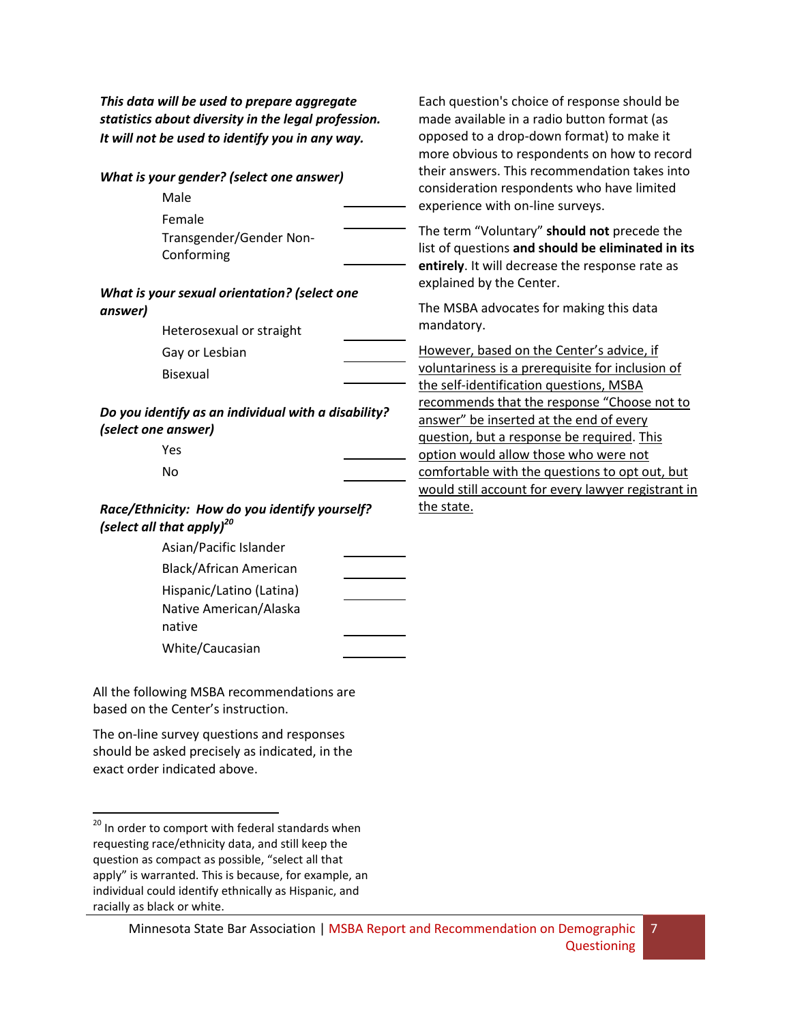*This data will be used to prepare aggregate statistics about diversity in the legal profession. It will not be used to identify you in any way.*

| What is your gender? (select one answer)                                   |                                                                                        |  |                      |
|----------------------------------------------------------------------------|----------------------------------------------------------------------------------------|--|----------------------|
|                                                                            | Male                                                                                   |  | consid<br>experie    |
|                                                                            | Female                                                                                 |  |                      |
|                                                                            | Transgender/Gender Non-                                                                |  | The ter<br>list of o |
|                                                                            | Conforming                                                                             |  | entirel              |
|                                                                            |                                                                                        |  | explair              |
| What is your sexual orientation? (select one                               |                                                                                        |  | The M!               |
| answer)                                                                    |                                                                                        |  | manda                |
|                                                                            | Heterosexual or straight                                                               |  |                      |
|                                                                            | Gay or Lesbian                                                                         |  | Howev                |
|                                                                            | <b>Bisexual</b>                                                                        |  | volunta              |
|                                                                            |                                                                                        |  | the sel<br>recomi    |
| Do you identify as an individual with a disability?<br>(select one answer) |                                                                                        |  | answei               |
|                                                                            |                                                                                        |  | questio              |
|                                                                            | Yes                                                                                    |  | option               |
|                                                                            | No                                                                                     |  | comfor               |
|                                                                            |                                                                                        |  | would                |
|                                                                            | Race/Ethnicity: How do you identify yourself?<br>(select all that apply) <sup>20</sup> |  | the sta              |
|                                                                            | Asian/Pacific Islander                                                                 |  |                      |
|                                                                            | Black/African American                                                                 |  |                      |
|                                                                            | Hispanic/Latino (Latina)                                                               |  |                      |
|                                                                            | Native American/Alaska                                                                 |  |                      |
|                                                                            | native                                                                                 |  |                      |
|                                                                            | White/Caucasian                                                                        |  |                      |

All the following MSBA recommendations are based on the Center's instruction.

The on-line survey questions and responses should be asked precisely as indicated, in the exact order indicated above.

 $\overline{a}$ 

Each question's choice of response should be made available in a radio button format (as opposed to a drop-down format) to make it more obvious to respondents on how to record nswers. This recommendation takes into eration respondents who have limited ence with on-line surveys.

rm "Voluntary" **should not** precede the questions and should be eliminated in its **ly**. It will decrease the response rate as ed by the Center.

SBA advocates for making this data itory.

er, based on the Center's advice, if ariness is a prerequisite for inclusion of If-identification questions, MSBA mends that the response "Choose not to r" be inserted at the end of every on, but a response be required. This would allow those who were not rtable with the questions to opt out, but still account for every lawyer registrant in ite.

7

 $^{20}$  In order to comport with federal standards when requesting race/ethnicity data, and still keep the question as compact as possible, "select all that apply" is warranted. This is because, for example, an individual could identify ethnically as Hispanic, and racially as black or white.